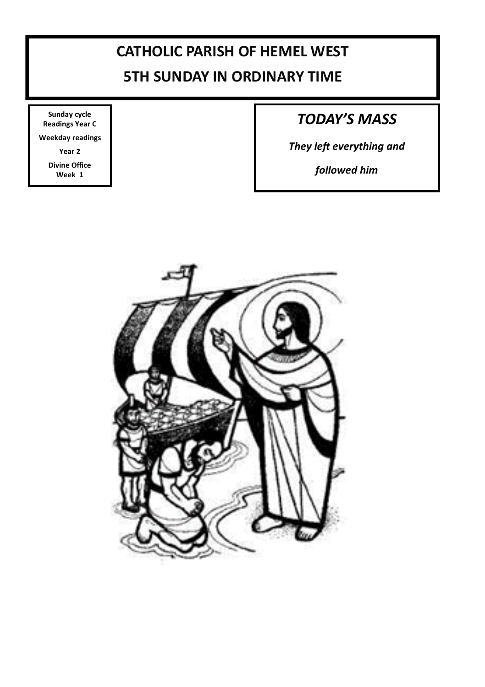### **CATHOLIC PARISH OF HEMEL WEST**

### **5TH SUNDAY IN ORDINARY TIME**

**Sunday cycle Readings Year C**

**Weekday readings** 

**Year 2**

**Divine Office Week 1**

### *TODAY'S MASS*

*They left everything and* 

*followed him*

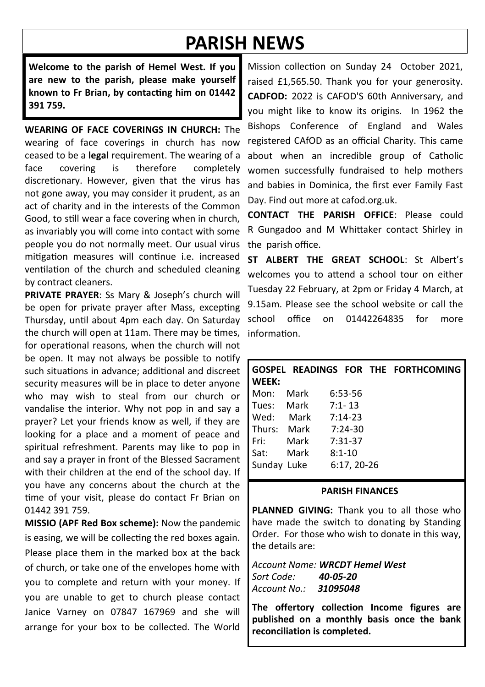# **PARISH NEWS**

**Welcome to the parish of Hemel West. If you are new to the parish, please make yourself known to Fr Brian, by contacting him on 01442 391 759.**

**WEARING OF FACE COVERINGS IN CHURCH:** The wearing of face coverings in church has now ceased to be a **legal** requirement. The wearing of a face covering is therefore completely discretionary. However, given that the virus has not gone away, you may consider it prudent, as an act of charity and in the interests of the Common Good, to still wear a face covering when in church, as invariably you will come into contact with some people you do not normally meet. Our usual virus mitigation measures will continue i.e. increased ventilation of the church and scheduled cleaning by contract cleaners.

**PRIVATE PRAYER**: Ss Mary & Joseph's church will be open for private prayer after Mass, excepting Thursday, until about 4pm each day. On Saturday the church will open at 11am. There may be times, for operational reasons, when the church will not be open. It may not always be possible to notify such situations in advance; additional and discreet security measures will be in place to deter anyone who may wish to steal from our church or vandalise the interior. Why not pop in and say a prayer? Let your friends know as well, if they are looking for a place and a moment of peace and spiritual refreshment. Parents may like to pop in and say a prayer in front of the Blessed Sacrament with their children at the end of the school day. If you have any concerns about the church at the time of your visit, please do contact Fr Brian on 01442 391 759.

**MISSIO (APF Red Box scheme):** Now the pandemic is easing, we will be collecting the red boxes again. Please place them in the marked box at the back of church, or take one of the envelopes home with you to complete and return with your money. If you are unable to get to church please contact Janice Varney on 07847 167969 and she will arrange for your box to be collected. The World

Mission collection on Sunday 24 October 2021, raised £1,565.50. Thank you for your generosity. **CADFOD:** 2022 is CAFOD'S 60th Anniversary, and you might like to know its origins. In 1962 the Bishops Conference of England and Wales registered CAfOD as an official Charity. This came about when an incredible group of Catholic women successfully fundraised to help mothers and babies in Dominica, the first ever Family Fast Day. Find out more at cafod.org.uk.

**CONTACT THE PARISH OFFICE**: Please could R Gungadoo and M Whittaker contact Shirley in the parish office.

**ST ALBERT THE GREAT SCHOOL**: St Albert's welcomes you to attend a school tour on either Tuesday 22 February, at 2pm or Friday 4 March, at 9.15am. Please see the school website or call the school office on 01442264835 for more information.

| WEEK:       |                   |             |  | GOSPEL READINGS FOR THE FORTHCOMING |
|-------------|-------------------|-------------|--|-------------------------------------|
| Mon:        | Mark              | 6:53-56     |  |                                     |
|             | Tues: Mark 7:1-13 |             |  |                                     |
| Wed: Mark   |                   | 7:14-23     |  |                                     |
| Thurs: Mark |                   | 7:24-30     |  |                                     |
| Fri: I      | Mark              | $7:31-37$   |  |                                     |
| Sat:        | Mark              | $8:1 - 10$  |  |                                     |
| Sunday Luke |                   | 6:17, 20-26 |  |                                     |

#### **PARISH FINANCES**

**PLANNED GIVING:** Thank you to all those who have made the switch to donating by Standing Order. For those who wish to donate in this way, the details are:

*Account Name: WRCDT Hemel West Sort Code: 40-05-20 Account No.: 31095048*

**The offertory collection Income figures are published on a monthly basis once the bank reconciliation is completed.**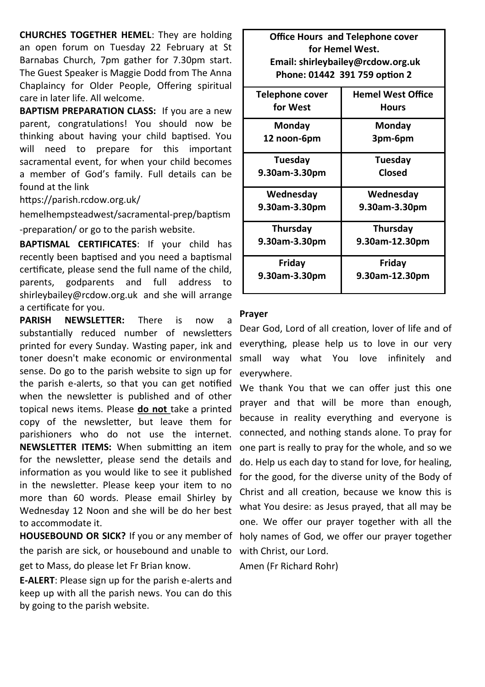**CHURCHES TOGETHER HEMEL**: They are holding an open forum on Tuesday 22 February at St Barnabas Church, 7pm gather for 7.30pm start. The Guest Speaker is Maggie Dodd from The Anna Chaplaincy for Older People, Offering spiritual care in later life. All welcome.

**BAPTISM PREPARATION CLASS:** If you are a new parent, congratulations! You should now be thinking about having your child baptised. You will need to prepare for this important sacramental event, for when your child becomes a member of God's family. Full details can be found at the link

https://parish.rcdow.org.uk/

hemelhempsteadwest/sacramental-prep/baptism -preparation/ or go to the parish website.

**BAPTISMAL CERTIFICATES**: If your child has recently been baptised and you need a baptismal certificate, please send the full name of the child, parents, godparents and full address to shirleybailey@rcdow.org.uk and she will arrange a certificate for you.

**PARISH NEWSLETTER:** There is now a substantially reduced number of newsletters printed for every Sunday. Wasting paper, ink and toner doesn't make economic or environmental sense. Do go to the parish website to sign up for the parish e-alerts, so that you can get notified when the newsletter is published and of other topical news items. Please **do not** take a printed copy of the newsletter, but leave them for parishioners who do not use the internet. **NEWSLETTER ITEMS:** When submitting an item for the newsletter, please send the details and information as you would like to see it published in the newsletter. Please keep your item to no more than 60 words. Please email Shirley by Wednesday 12 Noon and she will be do her best to accommodate it.

**HOUSEBOUND OR SICK?** If you or any member of the parish are sick, or housebound and unable to get to Mass, do please let Fr Brian know.

**E-ALERT**: Please sign up for the parish e-alerts and keep up with all the parish news. You can do this by going to the parish website.

**Office Hours and Telephone cover for Hemel West. Email: shirleybailey@rcdow.org.uk Phone: 01442 391 759 option 2**

| Telephone cover | <b>Hemel West Office</b> |  |  |
|-----------------|--------------------------|--|--|
|                 |                          |  |  |
| for West        | Hours                    |  |  |
| Monday          | Monday                   |  |  |
| 12 noon-6pm     | 3pm-6pm                  |  |  |
|                 |                          |  |  |
| Tuesdav         | Tuesday                  |  |  |
| 9.30am-3.30pm   | Closed                   |  |  |
|                 |                          |  |  |
| Wednesday       | Wednesday                |  |  |
| 9.30am-3.30pm   | 9.30am-3.30pm            |  |  |
|                 |                          |  |  |
| Thursday        | Thursday                 |  |  |
| 9.30am-3.30pm   | 9.30am-12.30pm           |  |  |
|                 |                          |  |  |
| Friday          | Friday                   |  |  |
| 9.30am-3.30pm   | 9.30am-12.30pm           |  |  |
|                 |                          |  |  |
|                 |                          |  |  |

#### **Prayer**

Dear God, Lord of all creation, lover of life and of everything, please help us to love in our very small way what You love infinitely and everywhere.

We thank You that we can offer just this one prayer and that will be more than enough, because in reality everything and everyone is connected, and nothing stands alone. To pray for one part is really to pray for the whole, and so we do. Help us each day to stand for love, for healing, for the good, for the diverse unity of the Body of Christ and all creation, because we know this is what You desire: as Jesus prayed, that all may be one. We offer our prayer together with all the holy names of God, we offer our prayer together with Christ, our Lord.

Amen (Fr Richard Rohr)